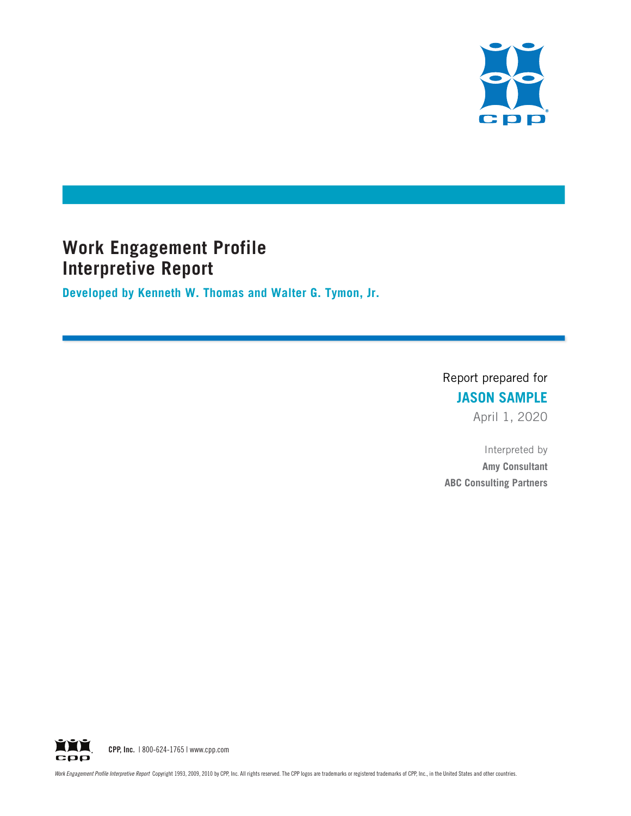

# **Work Engagement Profile Interpretive Report**

**Developed by Kenneth W. Thomas and Walter G. Tymon, Jr.**

Report prepared for **JASON SAMPLE**

April 1, 2020

Interpreted by **Amy Consultant ABC Consulting Partners**

**YYY** CPP, Inc. | 800-624-1765 | www.cpp.com срр

Work Engagement Profile Interpretive Report Copyright 1993, 2009, 2010 by CPP, Inc. All rights reserved. The CPP logos are trademarks or registered trademarks of CPP, Inc., in the United States and other countries.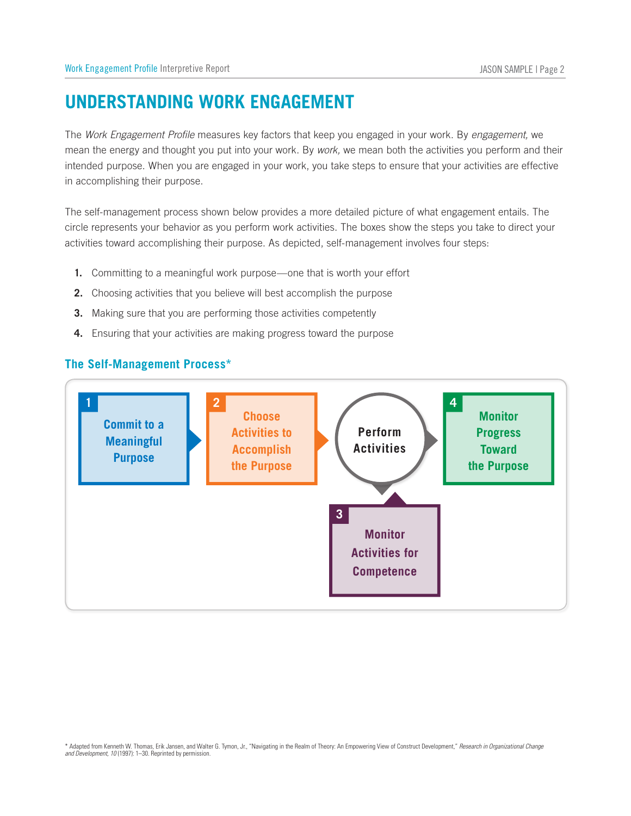# **Understanding Work Engagement**

The *Work Engagement Profile* measures key factors that keep you engaged in your work. By *engagement,* we mean the energy and thought you put into your work. By *work,* we mean both the activities you perform and their intended purpose. When you are engaged in your work, you take steps to ensure that your activities are effective in accomplishing their purpose. Work Engagement Profile Interpretive Report<br> **UNDERSTANDING WOR**<br>
The *Work Engagement Profile* measure<br>
mean the energy and thought you put<br>
intended purpose. When you are engain<br>
accomplishing their purpose.<br>
The self-ma **MON SAM**<br> **Monitor**<br> **Monitor**<br> **Monitor**<br> **Monitor** 

The self-management process shown below provides a more detailed picture of what engagement entails. The circle represents your behavior as you perform work activities. The boxes show the steps you take to direct your activities toward accomplishing their purpose. As depicted, self-management involves four steps:

- **1.** Committing to a meaningful work purpose—one that is worth your effort
- **2.** Choosing activities that you believe will best accomplish the purpose
- **3.** Making sure that you are performing those activities competently
- **4.** Ensuring that your activities are making progress toward the purpose



<sup>\*</sup> Adapted from Kenneth W. Thomas, Erik Jansen, and Walter G. Tymon, Jr., "Navigating in the Realm of Theory: An Empowering View of Construct Development," *Research in Organizational Change and Development, 10* (1997): 1–30. Reprinted by permission.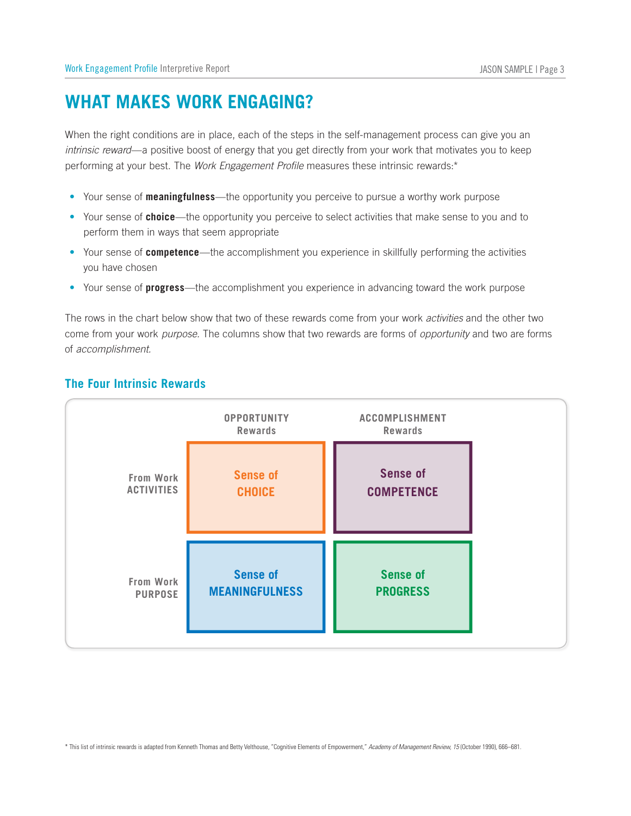# **WHAT MAKES WORK ENGAGING?**

When the right conditions are in place, each of the steps in the self-management process can give you an *intrinsic reward*—a positive boost of energy that you get directly from your work that motivates you to keep performing at your best. The *Work Engagement Profile* measures these intrinsic rewards:\* rt<br> **CONCAGIN**<br>
Dec<sub>ree</sub>, each of the<br>
energy that you<br>
ingagement Pre<br>
the opportunity<br>
our performate<br>
accomplishment<br>
at two of these<br>
columns show<br> **OPPORTUNITY** Franagement proce<br>
Im your work that mese intrinsic reward<br>
Do pursue a worthy v<br>
Civities that make s<br>
Ce in skillfully perfo<br>
In advancing toward<br>
Trom your work *active*<br>
The Same of opport<br>
ACCOMPLISHMENT Work Engagement Profile Interpretive<br>
WHAT MAKES WOI<br>
When the right conditions are in<br>
intrinsic reward—a positive boos<br>
performing at your best. The *We*<br>
• Your sense of **choice**—the c<br>
perform them in ways that s<br>
• Yo

- • Your sense of **meaningfulness**—the opportunity you perceive to pursue a worthy work purpose
- Your sense of **choice**—the opportunity you perceive to select activities that make sense to you and to perform them in ways that seem appropriate
- • Your sense of **competence**—the accomplishment you experience in skillfully performing the activities you have chosen
- • Your sense of **progress**—the accomplishment you experience in advancing toward the work purpose

The rows in the chart below show that two of these rewards come from your work *activities* and the other two come from your work *purpose.* The columns show that two rewards are forms of *opportunity* and two are forms of *accomplishment.*

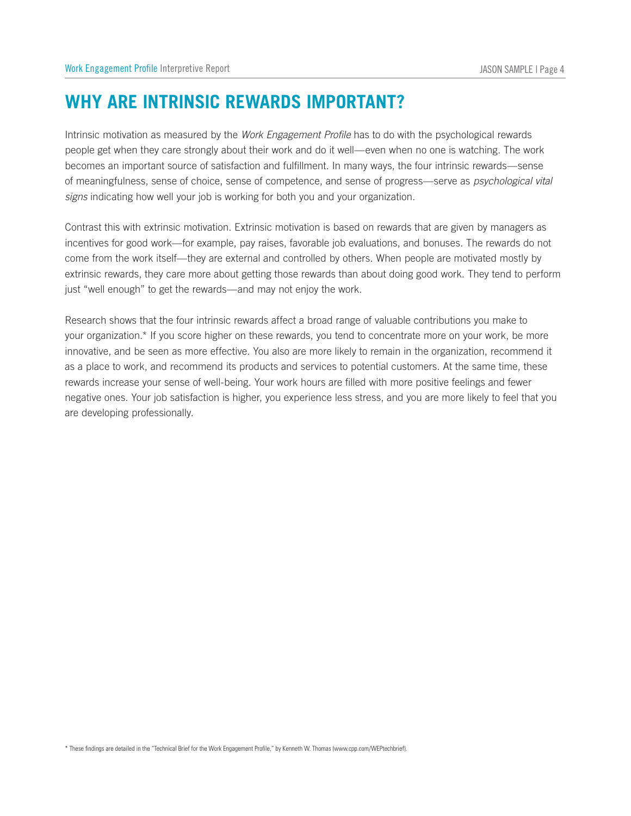## **<sup>W</sup>hy Are Intrinsic Rewards Important?**

Intrinsic motivation as measured by the *Work Engagement Profile* has to do with the psychological rewards people get when they care strongly about their work and do it well—even when no one is watching. The work becomes an important source of satisfaction and fulfillment. In many ways, the four intrinsic rewards—sense of meaningfulness, sense of choice, sense of competence, and sense of progress—serve as *psychological vital signs* indicating how well your job is working for both you and your organization.

Contrast this with extrinsic motivation. Extrinsic motivation is based on rewards that are given by managers as incentives for good work—for example, pay raises, favorable job evaluations, and bonuses. The rewards do not come from the work itself—they are external and controlled by others. When people are motivated mostly by extrinsic rewards, they care more about getting those rewards than about doing good work. They tend to perform just "well enough" to get the rewards—and may not enjoy the work.

Research shows that the four intrinsic rewards affect a broad range of valuable contributions you make to your organization.\* If you score higher on these rewards, you tend to concentrate more on your work, be more innovative, and be seen as more effective. You also are more likely to remain in the organization, recommend it as a place to work, and recommend its products and services to potential customers. At the same time, these rewards increase your sense of well-being. Your work hours are filled with more positive feelings and fewer negative ones. Your job satisfaction is higher, you experience less stress, and you are more likely to feel that you are developing professionally.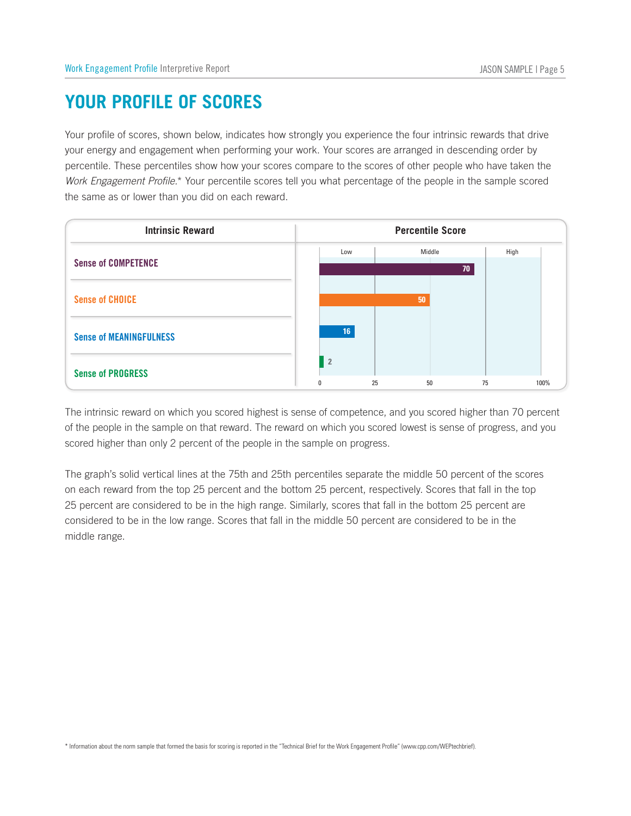# **Your Profile of Scores**

Your profile of scores, shown below, indicates how strongly you experience the four intrinsic rewards that drive your energy and engagement when performing your work. Your scores are arranged in descending order by percentile. These percentiles show how your scores compare to the scores of other people who have taken the *Work Engagement Profile.*\* Your percentile scores tell you what percentage of the people in the sample scored the same as or lower than you did on each reward. FILE OF SCORES<br> **INSPENSE ASSES**<br>
FILE OF SCORES<br>
The set of the performing your work. Your scores are arranged in desc<br>
percentiles show how your scores compare to the scores of other people<br>
Profile.\* Your percentile sco



The intrinsic reward on which you scored highest is sense of competence, and you scored higher than 70 percent of the people in the sample on that reward. The reward on which you scored lowest is sense of progress, and you scored higher than only 2 percent of the people in the sample on progress.

The graph's solid vertical lines at the 75th and 25th percentiles separate the middle 50 percent of the scores on each reward from the top 25 percent and the bottom 25 percent, respectively. Scores that fall in the top 25 percent are considered to be in the high range. Similarly, scores that fall in the bottom 25 percent are considered to be in the low range. Scores that fall in the middle 50 percent are considered to be in the middle range.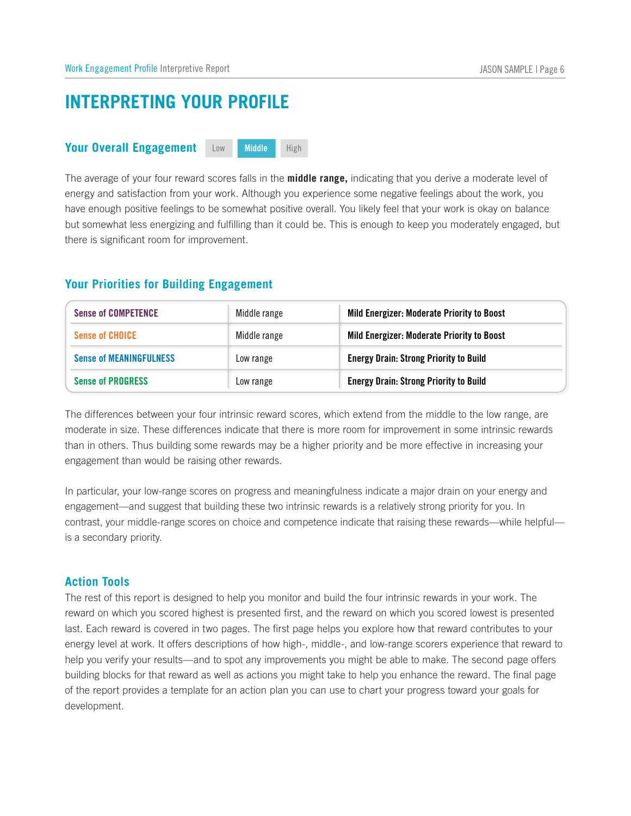# **INTERPRETING YOUR PROFILE** *<u>Work Engagement Profile Interpretively</u>***<br>
<b>INTERPRETING YOUR OVER ALL**<br> **Your Overall Engagement**

| Work Engagement Profile Interpretive Report                                |                              | JASON SAMPLE   Page 6                                                                                                                                                                                                                |
|----------------------------------------------------------------------------|------------------------------|--------------------------------------------------------------------------------------------------------------------------------------------------------------------------------------------------------------------------------------|
| <b>INTERPRETING YOUR PROFILE</b>                                           |                              |                                                                                                                                                                                                                                      |
| <b>Your Overall Engagement</b>                                             | High<br><b>Middle</b><br>Low |                                                                                                                                                                                                                                      |
| there is significant room for improvement.                                 |                              | have enough positive feelings to be somewhat positive overall. You likely feel that your work is okay on balance<br>but somewhat less energizing and fulfilling than it could be. This is enough to keep you moderately engaged, but |
|                                                                            |                              |                                                                                                                                                                                                                                      |
| <b>Sense of COMPETENCE</b>                                                 | Middle range                 | Mild Energizer: Moderate Priority to Boost                                                                                                                                                                                           |
| <b>Sense of CHOICE</b>                                                     | Middle range                 | Mild Energizer: Moderate Priority to Boost                                                                                                                                                                                           |
| <b>Sense of MEANINGFULNESS</b>                                             | Low range                    | <b>Energy Drain: Strong Priority to Build</b>                                                                                                                                                                                        |
| <b>Your Priorities for Building Engagement</b><br><b>Sense of PROGRESS</b> | Low range                    | <b>Energy Drain: Strong Priority to Build</b>                                                                                                                                                                                        |

### **Action Tools**

The rest of this report is designed to help you monitor and build the four intrinsic rewards in your work. The reward on which you scored highest is presented first, and the reward on which you scored lowest is presented last. Each reward is covered in two pages. The first page helps you explore how that reward contributes to your energy level at work. It offers descriptions of how high-, middle-, and low-range scorers experience that reward to help you verify your results—and to spot any improvements you might be able to make. The second page offers building blocks for that reward as well as actions you might take to help you enhance the reward. The final page of the report provides a template for an action plan you can use to chart your progress toward your goals for development.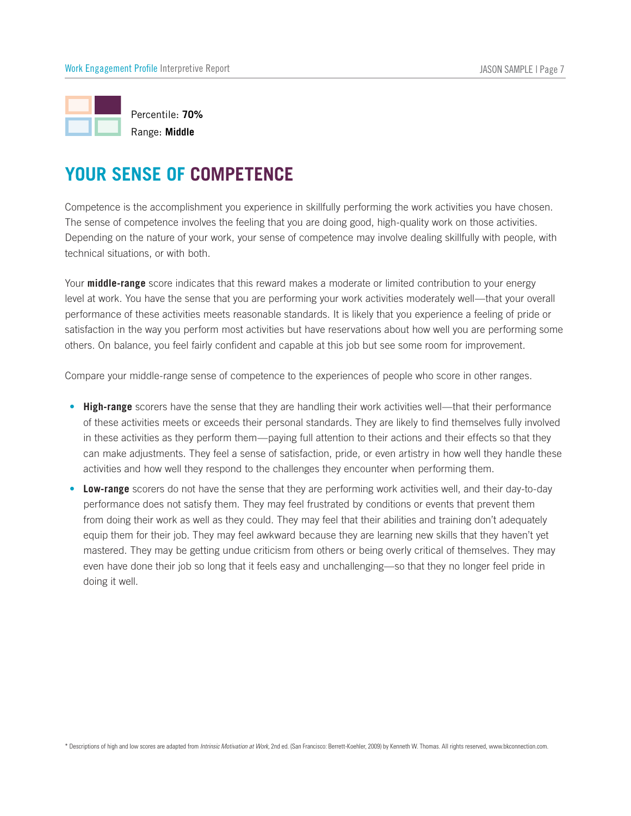

Competence is the accomplishment you experience in skillfully performing the work activities you have chosen. The sense of competence involves the feeling that you are doing good, high-quality work on those activities. Depending on the nature of your work, your sense of competence may involve dealing skillfully with people, with technical situations, or with both.

Your **middle-range** score indicates that this reward makes a moderate or limited contribution to your energy level at work. You have the sense that you are performing your work activities moderately well—that your overall performance of these activities meets reasonable standards. It is likely that you experience a feeling of pride or satisfaction in the way you perform most activities but have reservations about how well you are performing some others. On balance, you feel fairly confident and capable at this job but see some room for improvement.

Compare your middle-range sense of competence to the experiences of people who score in other ranges.

- **High-range** scorers have the sense that they are handling their work activities well—that their performance of these activities meets or exceeds their personal standards. They are likely to find themselves fully involved in these activities as they perform them—paying full attention to their actions and their effects so that they can make adjustments. They feel a sense of satisfaction, pride, or even artistry in how well they handle these activities and how well they respond to the challenges they encounter when performing them. For the sense of competence is the accompishment you experience in skilltully performing the work activities, we<br>chen the sense of competence involves the feeling that you are doing good, high-quality work on those activit
- performance does not satisfy them. They may feel frustrated by conditions or events that prevent them from doing their work as well as they could. They may feel that their abilities and training don't adequately equip them for their job. They may feel awkward because they are learning new skills that they haven't yet mastered. They may be getting undue criticism from others or being overly critical of themselves. They may even have done their job so long that it feels easy and unchallenging—so that they no longer feel pride in doing it well.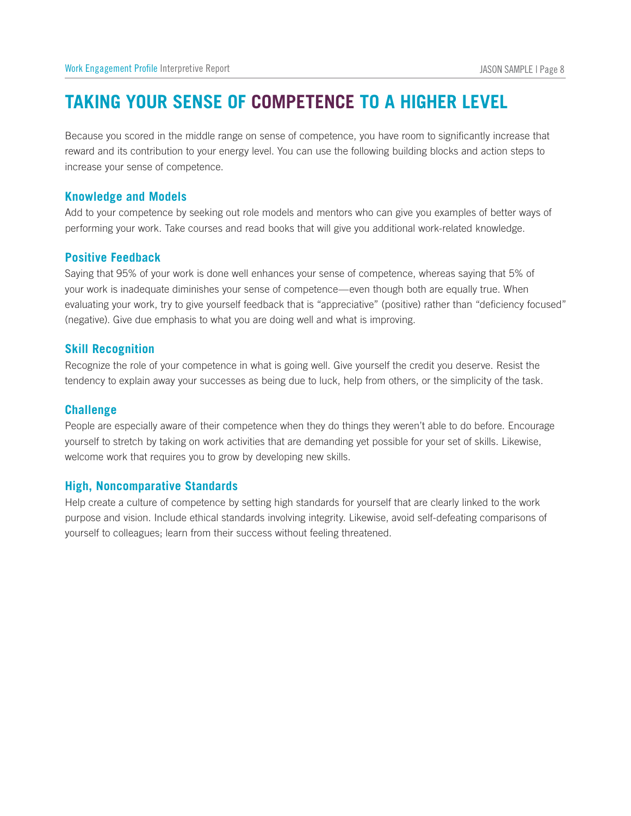# **Taking Your Sense of Competence to a Higher Level**

Because you scored in the middle range on sense of competence, you have room to significantly increase that reward and its contribution to your energy level. You can use the following building blocks and action steps to increase your sense of competence. Work Engagement Profile Interpre<br> **TAKING YOUR SI**<br>
Because you scored in the reward and its contribution<br>
increase your sense of comp<br> **Knowledge and Models** Work Engagement Profile<br> **TAKING YOUI**<br>
Because you scored i<br>
reward and its contrib<br>
increase your sense o<br> **Knowledge and Mendem School**<br>
Positive Feedback<br>
Positive Feedback

Add to your competence by seeking out role models and mentors who can give you examples of better ways of performing your work. Take courses and read books that will give you additional work-related knowledge.

Saying that 95% of your work is done well enhances your sense of competence, whereas saying that 5% of your work is inadequate diminishes your sense of competence—even though both are equally true. When evaluating your work, try to give yourself feedback that is "appreciative" (positive) rather than "deficiency focused" (negative). Give due emphasis to what you are doing well and what is improving. Feward and its contri<br>increase your sense<br>**Knowledge and N**<br>Add to your compete<br>performing your wor<br>**Positive Feedbac**<br>Saying that 95% of y<br>your work is inadequ<br>evaluating your work<br>(negative). Give due<br>**Skill Recognition** 

Recognize the role of your competence in what is going well. Give yourself the credit you deserve. Resist the tendency to explain away your successes as being due to luck, help from others, or the simplicity of the task.

### **Challenge**

People are especially aware of their competence when they do things they weren't able to do before. Encourage yourself to stretch by taking on work activities that are demanding yet possible for your set of skills. Likewise, welcome work that requires you to grow by developing new skills. your work is inadequate diministies you<br>evaluating your work, try to give yoursel<br>(negative). Give due emphasis to what y<br>**Skill Recognition**<br>Recognize the role of your competence<br>tendency to explain away your successe<br>**Ch** 

Help create a culture of competence by setting high standards for yourself that are clearly linked to the work purpose and vision. Include ethical standards involving integrity. Likewise, avoid self-defeating comparisons of yourself to colleagues; learn from their success without feeling threatened.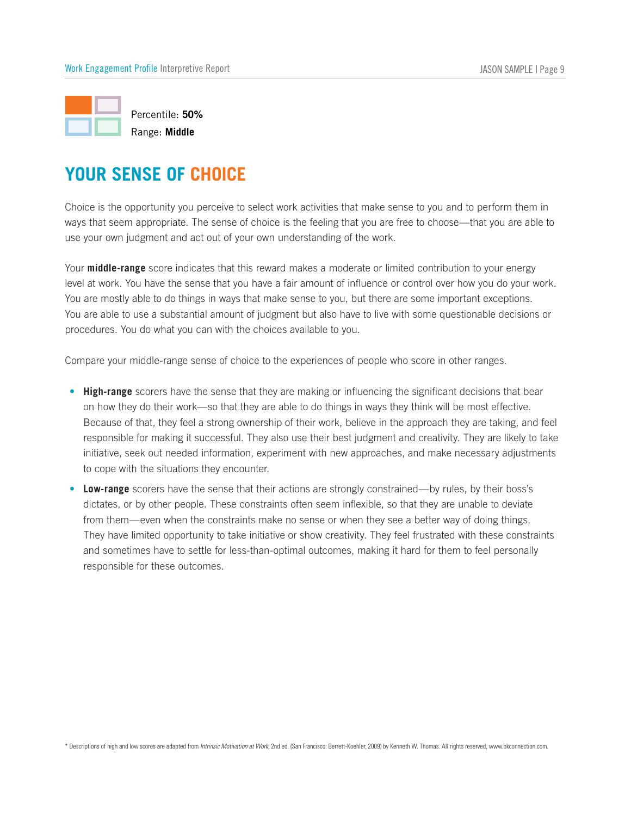

Choice is the opportunity you perceive to select work activities that make sense to you and to perform them in ways that seem appropriate. The sense of choice is the feeling that you are free to choose—that you are able to use your own judgment and act out of your own understanding of the work.

Your **middle-range** score indicates that this reward makes a moderate or limited contribution to your energy level at work. You have the sense that you have a fair amount of influence or control over how you do your work. You are mostly able to do things in ways that make sense to you, but there are some important exceptions. You are able to use a substantial amount of judgment but also have to live with some questionable decisions or procedures. You do what you can with the choices available to you.

Compare your middle-range sense of choice to the experiences of people who score in other ranges.

- **High-range** scorers have the sense that they are making or influencing the significant decisions that bear on how they do their work—so that they are able to do things in ways they think will be most effective. Because of that, they feel a strong ownership of their work, believe in the approach they are taking, and feel responsible for making it successful. They also use their best judgment and creativity. They are likely to take initiative, seek out needed information, experiment with new approaches, and make necessary adjustments to cope with the situations they encounter. vays that seem appropriate. The sense of choice is the teeling that you are free to choose—that you are able se your own judgment and act out of your own understanding of the work.<br>
Your **middle-range** score indicates that
- dictates, or by other people. These constraints often seem inflexible, so that they are unable to deviate from them—even when the constraints make no sense or when they see a better way of doing things. They have limited opportunity to take initiative or show creativity. They feel frustrated with these constraints and sometimes have to settle for less-than-optimal outcomes, making it hard for them to feel personally responsible for these outcomes.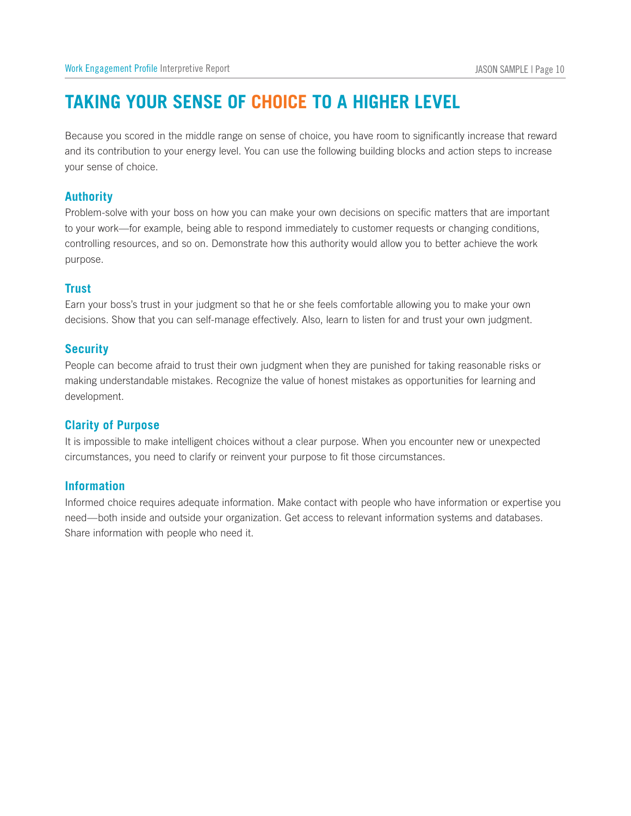# **Taking Your Sense of Choice to a Higher Level**

Because you scored in the middle range on sense of choice, you have room to significantly increase that reward and its contribution to your energy level. You can use the following building blocks and action steps to increase your sense of choice. Work Engage<br>**TAKIN**<br>Because your<br>and its con<br>your sense<br>**Authority** 

Problem-solve with your boss on how you can make your own decisions on specific matters that are important to your work—for example, being able to respond immediately to customer requests or changing conditions, controlling resources, and so on. Demonstrate how this authority would allow you to better achieve the work purpose. and its co<br>your sense<br>**Authorit**<br>Problem-s<br>to your we<br>controlling<br>purpose.<br>**Trust**<br>Earn your<br>decisions.<br>**Security** 

### **Trust**

Earn your boss's trust in your judgment so that he or she feels comfortable allowing you to make your own decisions. Show that you can self-manage effectively. Also, learn to listen for and trust your own judgment.

People can become afraid to trust their own judgment when they are punished for taking reasonable risks or making understandable mistakes. Recognize the value of honest mistakes as opportunities for learning and development.

### **Clarity of Purpose**

It is impossible to make intelligent choices without a clear purpose. When you encounter new or unexpected circumstances, you need to clarify or reinvent your purpose to fit those circumstances.

### **Information**

Informed choice requires adequate information. Make contact with people who have information or expertise you need—both inside and outside your organization. Get access to relevant information systems and databases. Share information with people who need it.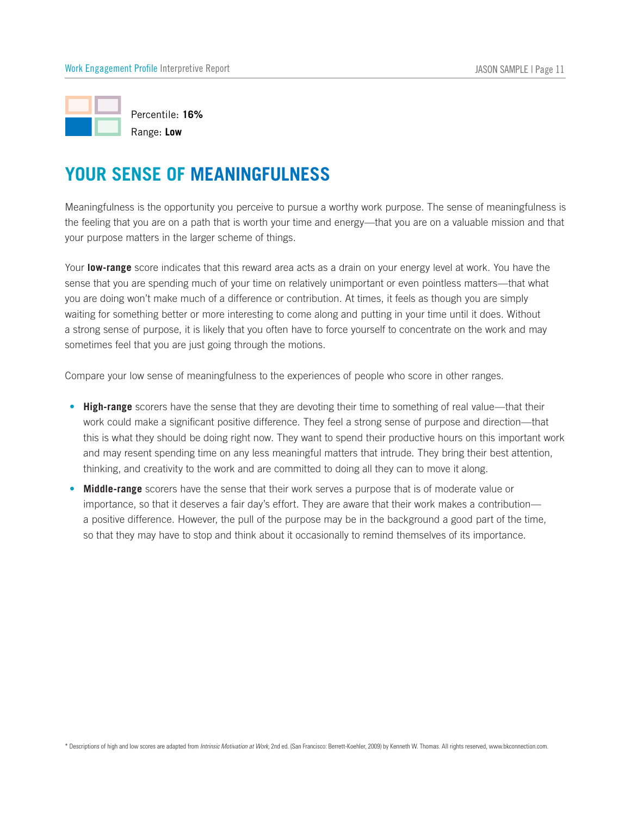

Meaningfulness is the opportunity you perceive to pursue a worthy work purpose. The sense of meaningfulness is the feeling that you are on a path that is worth your time and energy—that you are on a valuable mission and that your purpose matters in the larger scheme of things.

Your **low-range** score indicates that this reward area acts as a drain on your energy level at work. You have the sense that you are spending much of your time on relatively unimportant or even pointless matters—that what you are doing won't make much of a difference or contribution. At times, it feels as though you are simply waiting for something better or more interesting to come along and putting in your time until it does. Without a strong sense of purpose, it is likely that you often have to force yourself to concentrate on the work and may sometimes feel that you are just going through the motions. Free thing that you are on a path that is worth your time and energy—that you are on a valuable mission our purpose matters in the larger scheme of things.<br>
Sur **Iow-range** score indicates that this reward area acts as a d

Compare your low sense of meaningfulness to the experiences of people who score in other ranges.

- **High-range** scorers have the sense that they are devoting their time to something of real value—that their work could make a significant positive difference. They feel a strong sense of purpose and direction—that this is what they should be doing right now. They want to spend their productive hours on this important work and may resent spending time on any less meaningful matters that intrude. They bring their best attention, thinking, and creativity to the work and are committed to doing all they can to move it along.
- importance, so that it deserves a fair day's effort. They are aware that their work makes a contribution a positive difference. However, the pull of the purpose may be in the background a good part of the time, so that they may have to stop and think about it occasionally to remind themselves of its importance.

\* Descriptions of high and low scores are adapted from *Intrinsic Motivation at Work,* 2nd ed. (San Francisco: Berrett-Koehler, 2009) by Kenneth W. Thomas. All rights reserved, www.bkconnection.com.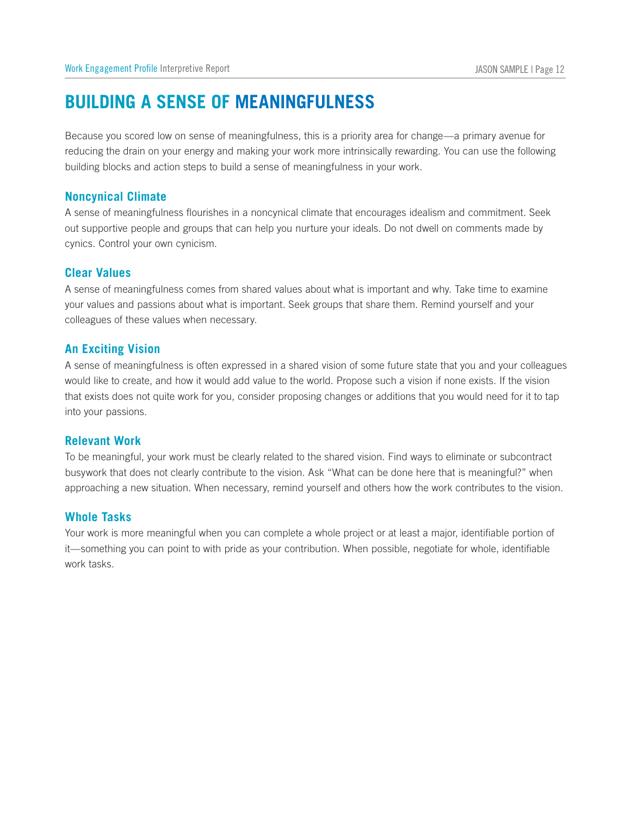# **Building a Sense of Meaningfulness**

Because you scored low on sense of meaningfulness, this is a priority area for change—a primary avenue for reducing the drain on your energy and making your work more intrinsically rewarding. You can use the following building blocks and action steps to build a sense of meaningfulness in your work. Work Engagement Profile In<br> **BUILDING AS**<br>
Because you scored loveducing the drain on y<br>
building blocks and act<br>
Noncynical Climate

A sense of meaningfulness flourishes in a noncynical climate that encourages idealism and commitment. Seek out supportive people and groups that can help you nurture your ideals. Do not dwell on comments made by cynics. Control your own cynicism. **COMPTE SECUTE DINCE**<br>
Because you sereducing the dividing blocks<br> **Noncynical CA**<br>
Sense of meadout supportive<br>
cynics. Control<br> **Clear Values** Feducing the dram on<br>building blocks and at<br>**Noncynical Climat**<br>A sense of meaningfu<br>out supportive people<br>cynics. Control your o<br>**Clear Values**<br>A sense of meaningfu<br>your values and passi<br>colleagues of these va<br>**An Excitin** 

A sense of meaningfulness comes from shared values about what is important and why. Take time to examine your values and passions about what is important. Seek groups that share them. Remind yourself and your colleagues of these values when necessary.

A sense of meaningfulness is often expressed in a shared vision of some future state that you and your colleagues would like to create, and how it would add value to the world. Propose such a vision if none exists. If the vision that exists does not quite work for you, consider proposing changes or additions that you would need for it to tap into your passions.

### **Relevant Work**

To be meaningful, your work must be clearly related to the shared vision. Find ways to eliminate or subcontract busywork that does not clearly contribute to the vision. Ask "What can be done here that is meaningful?" when approaching a new situation. When necessary, remind yourself and others how the work contributes to the vision.

### **Whole Tasks**

Your work is more meaningful when you can complete a whole project or at least a major, identifiable portion of it—something you can point to with pride as your contribution. When possible, negotiate for whole, identifiable work tasks.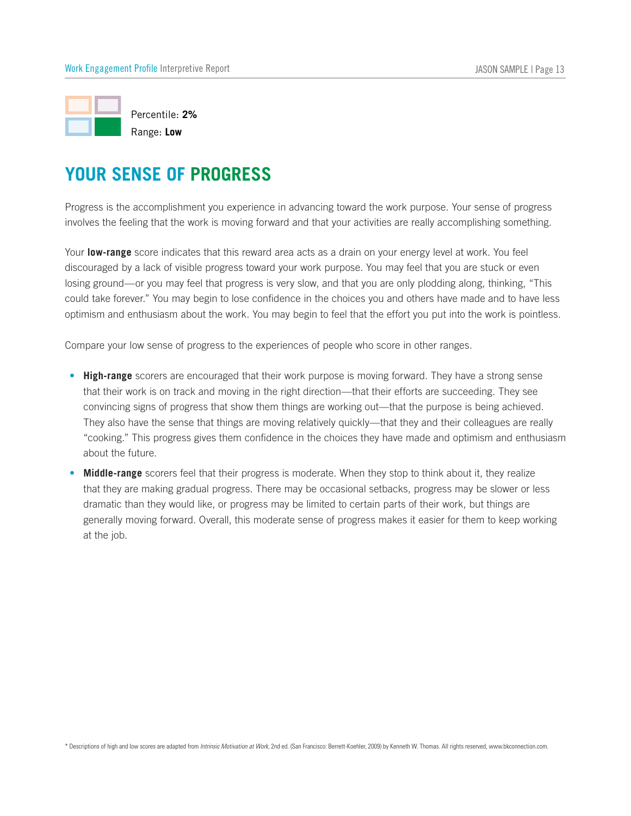

Progress is the accomplishment you experience in advancing toward the work purpose. Your sense of progress involves the feeling that the work is moving forward and that your activities are really accomplishing something.

Your **low-range** score indicates that this reward area acts as a drain on your energy level at work. You feel discouraged by a lack of visible progress toward your work purpose. You may feel that you are stuck or even losing ground—or you may feel that progress is very slow, and that you are only plodding along, thinking, "This could take forever." You may begin to lose confidence in the choices you and others have made and to have less optimism and enthusiasm about the work. You may begin to feel that the effort you put into the work is pointless.

Compare your low sense of progress to the experiences of people who score in other ranges.

- **High-range** scorers are encouraged that their work purpose is moving forward. They have a strong sense that their work is on track and moving in the right direction—that their efforts are succeeding. They see convincing signs of progress that show them things are working out—that the purpose is being achieved. They also have the sense that things are moving relatively quickly—that they and their colleagues are really "cooking." This progress gives them confidence in the choices they have made and optimism and enthusiasm about the future. Wes the teeling that the work is moving forward and that your activities are really accomplishing somethi<br> **Iow-range** score indicates that this reward area acts as a drain on your energy level at work. You feel<br>
buraged b
- Middle-range scorers feel that their progress is moderate. When they stop to think about it, they realize that they are making gradual progress. There may be occasional setbacks, progress may be slower or less dramatic than they would like, or progress may be limited to certain parts of their work, but things are generally moving forward. Overall, this moderate sense of progress makes it easier for them to keep working at the job.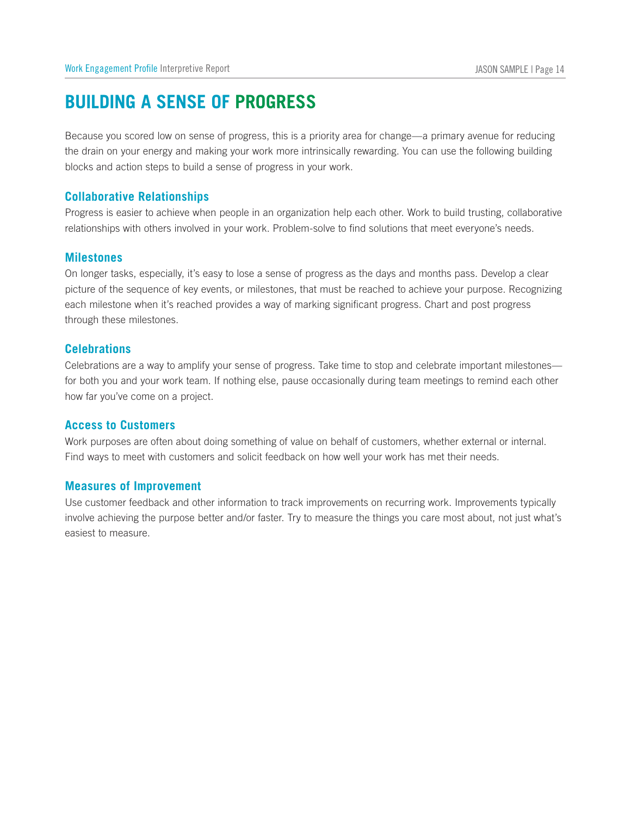# **Building a Sense of Progress**

Because you scored low on sense of progress, this is a priority area for change—a primary avenue for reducing the drain on your energy and making your work more intrinsically rewarding. You can use the following building blocks and action steps to build a sense of progress in your work. Work Engageme<br> **BUILDIN**<br>Because you<br>the drain on<br>
blocks and a<br> **Collaborati**<br>Progress is e<br>
relationships<br> **Milestones** 

### **Collaborative Relationships**

Progress is easier to achieve when people in an organization help each other. Work to build trusting, collaborative relationships with others involved in your work. Problem-solve to find solutions that meet everyone's needs.

On longer tasks, especially, it's easy to lose a sense of progress as the days and months pass. Develop a clear picture of the sequence of key events, or milestones, that must be reached to achieve your purpose. Recognizing each milestone when it's reached provides a way of marking significant progress. Chart and post progress through these milestones. **Milestones**<br>
On longer tasks, especial<br>
picture of the sequence c<br>
each milestone when it's<br>
through these milestones<br> **Celebrations**<br>
Celebrations are a way to<br>
for both you and your wo<br>
how far you've come on a<br> **Access** 

### **Celebrations**

Celebrations are a way to amplify your sense of progress. Take time to stop and celebrate important milestones for both you and your work team. If nothing else, pause occasionally during team meetings to remind each other how far you've come on a project. picture of the sequence of key<br>each milestone when it's reach<br>through these milestones.<br>**Celebrations**<br>Celebrations are a way to ampli<br>for both you and your work teal<br>how far you've come on a proje<br>**Access to Customers**<br>Wo

Work purposes are often about doing something of value on behalf of customers, whether external or internal. Find ways to meet with customers and solicit feedback on how well your work has met their needs.

Use customer feedback and other information to track improvements on recurring work. Improvements typically involve achieving the purpose better and/or faster. Try to measure the things you care most about, not just what's easiest to measure.